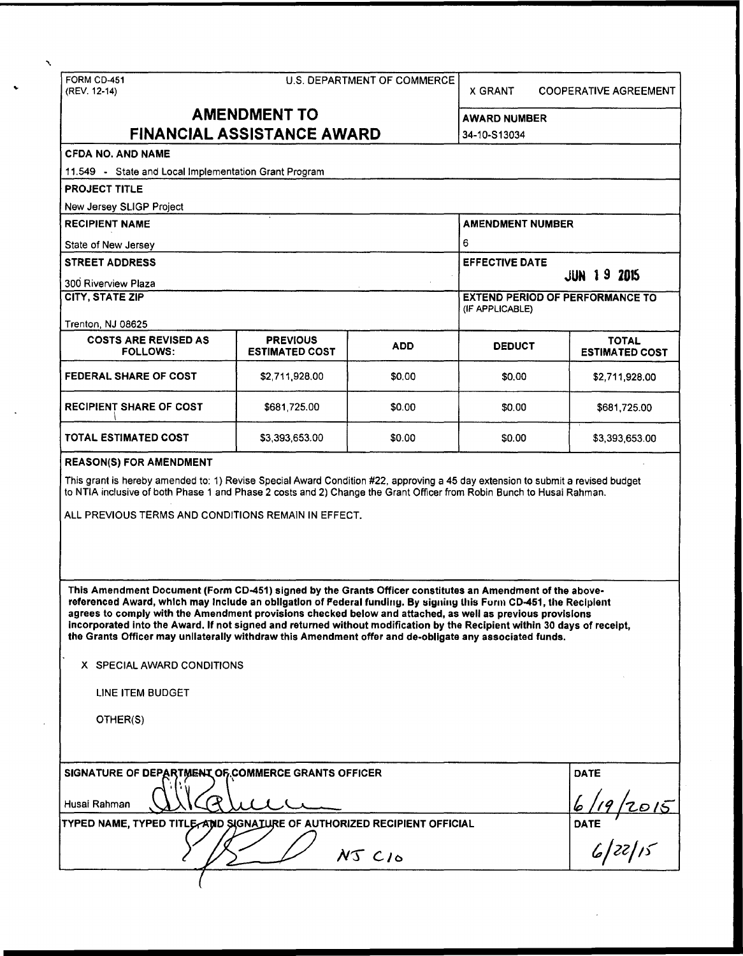FORM CD-451 U.S. DEPARTMENT OF COMMERCE ... (REV. 12-14)<br>
(REV. 12-14) X GRANT COOPERATIVE AGREEMENT AMENDMENT TO AWARD NUMBER FINANCIAL ASSISTANCE AWARD 34-10-S13034 CFDA NO. AND NAME 11.549 - State and Local Implementation Grant Program PROJECT TITLE New Jersey SLIGP Project RECIPIENT NAME AMENDMENT NUMBER State of New Jersey 6 STREET ADDRESS EFFECTIVE DATE: THE STREET ADDRESS EFFECTIVE DATE: 300 Riverview Plaza  $\overline{\phantom{a}}$  and  $\overline{\phantom{a}}$  and  $\overline{\phantom{a}}$  and  $\overline{\phantom{a}}$  and  $\overline{\phantom{a}}$  and  $\overline{\phantom{a}}$  and  $\overline{\phantom{a}}$  and  $\overline{\phantom{a}}$  and  $\overline{\phantom{a}}$  and  $\overline{\phantom{a}}$  and  $\overline{\phantom{a}}$  and  $\overline{\phantom{a}}$  and  $\overline{\phantom{a$ CITY, STATE ZIP **EXTERIOR CITY, STATE ZIP** EXTEND PERIOD OF PERFORMANCE TO (IF APPLICABLE) Trenton, NJ 08625 COSTS ARE REVISED AS PREVIOUS ADD DEDUCT TOTAL TOTAL TOTAL TOTAL TOTAL PREVIOUS ADD ADD DEDUCT STIMATED COST **ESTIMATED COST FEDERAL SHARE OF COST**  \$2,711,928.00 \$0.00 \$0.00 \$2,711,928.00 RECIPIENT SHARE OF COST \$681,725.00 \$0.00 \$0.00 \$681,725.00 TOTAL ESTIMATED COST \$3,393,653.00 \$0.00 \$0.00 \$3,393,653.00 REASON(S) FOR AMENDMENT This grant is hereby amended to: 1) Revise Special Award Condition #22, approving a 45 day extension to submit a revised budget to NTIA inclusive of both Phase 1 and Phase 2 costs and 2) Change the Grant Officer from Robin Bunch to Husai Rahman. ALL PREVIOUS TERMS AND CONDITIONS REMAIN IN EFFECT. This Amendment Document (Form CD-451) signed by the Grants Officer constitutes an Amendment of the abovereferenced Award, which may Include an obligation of Pederal funding. By signing lhis Furm CD-451, the Recipient agrees to comply with the Amendment provisions checked below and attached, as well as previous provisions Incorporated into the Award. If not signed and returned without modification by the Recipient within 30 days of receipt, the Grants Officer may unilaterally withdraw this Amendment offer and de-obligate any associated funds. X SPECIAL AWARD CONDITIONS LINE ITEM BUDGET OTHER(S) SIGNATURE OF DEPARTMENT OF COMMERCE GRANTS OFFICER DATE DATE DATE DATE  $\frac{1}{6}$  /19 /2015 TYPED NAME, TYPED TITLE AND SIGNATURE OF AUTHORIZED RECIPIENT OFFICIAL I  $\sqrt{5}$  NT CIO  $\sqrt{27/5}$ (